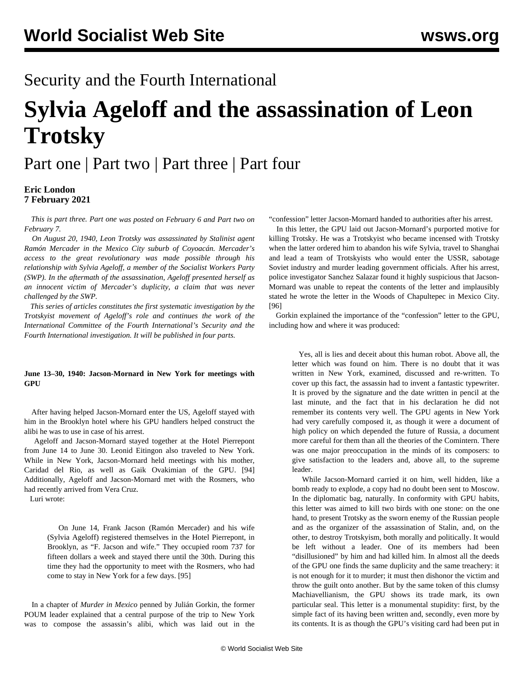## Security and the Fourth International

# **Sylvia Ageloff and the assassination of Leon Trotsky**

## [Part one](/en/articles/2021/02/06/sylv-f06.html) | [Part two](/en/articles/2021/02/06/sylv-f07.html) | [Part three](/en/articles/2021/02/08/sylv-f08.html) | [Part four](/en/articles/2021/02/09/sylv-f09.html)

#### **Eric London 7 February 2021**

 *This is part three. [Part one](/en/articles/2021/02/06/sylv-f06.html) was posted on February 6 and [Part two](/en/articles/2021/02/06/sylv-f07.html) on February 7.*

 *On August 20, 1940, Leon Trotsky was assassinated by Stalinist agent Ramón Mercader in the Mexico City suburb of Coyoacán. Mercader's access to the great revolutionary was made possible through his relationship with Sylvia Ageloff, a member of the Socialist Workers Party (SWP). In the aftermath of the assassination, Ageloff presented herself as an innocent victim of Mercader's duplicity, a claim that was never challenged by the SWP.*

 *This series of articles constitutes the first systematic investigation by the Trotskyist movement of Ageloff's role and continues the work of the International Committee of the Fourth International's Security and the Fourth International investigation. It will be published in four parts.*

#### **June 13–30, 1940: Jacson-Mornard in New York for meetings with GPU**

 After having helped Jacson-Mornard enter the US, Ageloff stayed with him in the Brooklyn hotel where his GPU handlers helped construct the alibi he was to use in case of his arrest.

 Ageloff and Jacson-Mornard stayed together at the Hotel Pierrepont from June 14 to June 30. Leonid Eitingon also traveled to New York. While in New York, Jacson-Mornard held meetings with his mother, Caridad del Rio, as well as Gaik Ovakimian of the GPU. [94] Additionally, Ageloff and Jacson-Mornard met with the Rosmers, who had recently arrived from Vera Cruz.

Luri wrote:

 On June 14, Frank Jacson (Ramón Mercader) and his wife (Sylvia Ageloff) registered themselves in the Hotel Pierrepont, in Brooklyn, as "F. Jacson and wife." They occupied room 737 for fifteen dollars a week and stayed there until the 30th. During this time they had the opportunity to meet with the Rosmers, who had come to stay in New York for a few days. [95]

 In a chapter of *Murder in Mexico* penned by Julián Gorkin, the former POUM leader explained that a central purpose of the trip to New York was to compose the assassin's alibi, which was laid out in the "confession" letter Jacson-Mornard handed to authorities after his arrest.

 In this letter, the GPU laid out Jacson-Mornard's purported motive for killing Trotsky. He was a Trotskyist who became incensed with Trotsky when the latter ordered him to abandon his wife Sylvia, travel to Shanghai and lead a team of Trotskyists who would enter the USSR, sabotage Soviet industry and murder leading government officials. After his arrest, police investigator Sanchez Salazar found it highly suspicious that Jacson-Mornard was unable to repeat the contents of the letter and implausibly stated he wrote the letter in the Woods of Chapultepec in Mexico City. [96]

 Gorkin explained the importance of the "confession" letter to the GPU, including how and where it was produced:

 Yes, all is lies and deceit about this human robot. Above all, the letter which was found on him. There is no doubt that it was written in New York, examined, discussed and re-written. To cover up this fact, the assassin had to invent a fantastic typewriter. It is proved by the signature and the date written in pencil at the last minute, and the fact that in his declaration he did not remember its contents very well. The GPU agents in New York had very carefully composed it, as though it were a document of high policy on which depended the future of Russia, a document more careful for them than all the theories of the Comintern. There was one major preoccupation in the minds of its composers: to give satisfaction to the leaders and, above all, to the supreme leader.

 While Jacson-Mornard carried it on him, well hidden, like a bomb ready to explode, a copy had no doubt been sent to Moscow. In the diplomatic bag, naturally. In conformity with GPU habits, this letter was aimed to kill two birds with one stone: on the one hand, to present Trotsky as the sworn enemy of the Russian people and as the organizer of the assassination of Stalin, and, on the other, to destroy Trotskyism, both morally and politically. It would be left without a leader. One of its members had been "disillusioned" by him and had killed him. In almost all the deeds of the GPU one finds the same duplicity and the same treachery: it is not enough for it to murder; it must then dishonor the victim and throw the guilt onto another. But by the same token of this clumsy Machiavellianism, the GPU shows its trade mark, its own particular seal. This letter is a monumental stupidity: first, by the simple fact of its having been written and, secondly, even more by its contents. It is as though the GPU's visiting card had been put in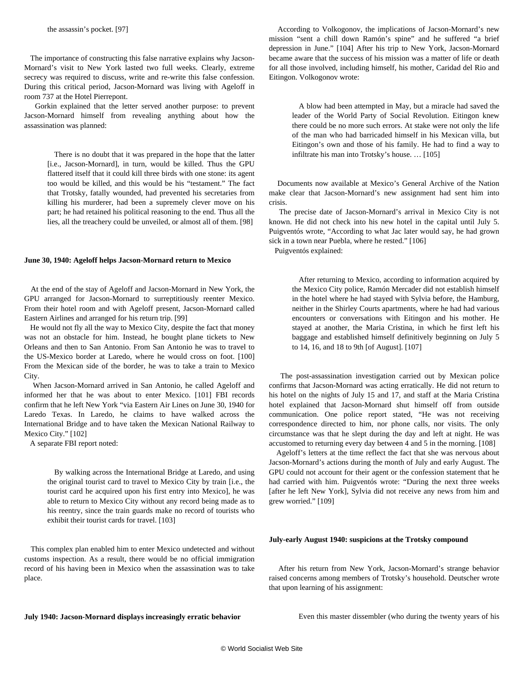The importance of constructing this false narrative explains why Jacson-Mornard's visit to New York lasted two full weeks. Clearly, extreme secrecy was required to discuss, write and re-write this false confession. During this critical period, Jacson-Mornard was living with Ageloff in room 737 at the Hotel Pierrepont.

 Gorkin explained that the letter served another purpose: to prevent Jacson-Mornard himself from revealing anything about how the assassination was planned:

 There is no doubt that it was prepared in the hope that the latter [i.e., Jacson-Mornard], in turn, would be killed. Thus the GPU flattered itself that it could kill three birds with one stone: its agent too would be killed, and this would be his "testament." The fact that Trotsky, fatally wounded, had prevented his secretaries from killing his murderer, had been a supremely clever move on his part; he had retained his political reasoning to the end. Thus all the lies, all the treachery could be unveiled, or almost all of them. [98]

#### **June 30, 1940: Ageloff helps Jacson-Mornard return to Mexico**

 At the end of the stay of Ageloff and Jacson-Mornard in New York, the GPU arranged for Jacson-Mornard to surreptitiously reenter Mexico. From their hotel room and with Ageloff present, Jacson-Mornard called Eastern Airlines and arranged for his return trip. [99]

 He would not fly all the way to Mexico City, despite the fact that money was not an obstacle for him. Instead, he bought plane tickets to New Orleans and then to San Antonio. From San Antonio he was to travel to the US-Mexico border at Laredo, where he would cross on foot. [100] From the Mexican side of the border, he was to take a train to Mexico City.

 When Jacson-Mornard arrived in San Antonio, he called Ageloff and informed her that he was about to enter Mexico. [101] FBI records confirm that he left New York "via Eastern Air Lines on June 30, 1940 for Laredo Texas. In Laredo, he claims to have walked across the International Bridge and to have taken the Mexican National Railway to Mexico City." [102]

A separate FBI report noted:

 By walking across the International Bridge at Laredo, and using the original tourist card to travel to Mexico City by train [i.e., the tourist card he acquired upon his first entry into Mexico], he was able to return to Mexico City without any record being made as to his reentry, since the train guards make no record of tourists who exhibit their tourist cards for travel. [103]

 This complex plan enabled him to enter Mexico undetected and without customs inspection. As a result, there would be no official immigration record of his having been in Mexico when the assassination was to take place.

 According to Volkogonov, the implications of Jacson-Mornard's new mission "sent a chill down Ramón's spine" and he suffered "a brief depression in June." [104] After his trip to New York, Jacson-Mornard became aware that the success of his mission was a matter of life or death for all those involved, including himself, his mother, Caridad del Rio and Eitingon. Volkogonov wrote:

 A blow had been attempted in May, but a miracle had saved the leader of the World Party of Social Revolution. Eitingon knew there could be no more such errors. At stake were not only the life of the man who had barricaded himself in his Mexican villa, but Eitingon's own and those of his family. He had to find a way to infiltrate his man into Trotsky's house. … [105]

 Documents now available at Mexico's General Archive of the Nation make clear that Jacson-Mornard's new assignment had sent him into crisis.

 The precise date of Jacson-Mornard's arrival in Mexico City is not known. He did not check into his new hotel in the capital until July 5. Puigventós wrote, "According to what Jac later would say, he had grown sick in a town near Puebla, where he rested." [106]

Puigventós explained:

 After returning to Mexico, according to information acquired by the Mexico City police, Ramón Mercader did not establish himself in the hotel where he had stayed with Sylvia before, the Hamburg, neither in the Shirley Courts apartments, where he had had various encounters or conversations with Eitingon and his mother. He stayed at another, the Maria Cristina, in which he first left his baggage and established himself definitively beginning on July 5 to 14, 16, and 18 to 9th [of August]. [107]

 The post-assassination investigation carried out by Mexican police confirms that Jacson-Mornard was acting erratically. He did not return to his hotel on the nights of July 15 and 17, and staff at the Maria Cristina hotel explained that Jacson-Mornard shut himself off from outside communication. One police report stated, "He was not receiving correspondence directed to him, nor phone calls, nor visits. The only circumstance was that he slept during the day and left at night. He was accustomed to returning every day between 4 and 5 in the morning. [108]

 Ageloff's letters at the time reflect the fact that she was nervous about Jacson-Mornard's actions during the month of July and early August. The GPU could not account for their agent or the confession statement that he had carried with him. Puigventós wrote: "During the next three weeks [after he left New York], Sylvia did not receive any news from him and grew worried." [109]

#### **July-early August 1940: suspicions at the Trotsky compound**

 After his return from New York, Jacson-Mornard's strange behavior raised concerns among members of Trotsky's household. Deutscher wrote that upon learning of his assignment:

**July 1940: Jacson-Mornard displays increasingly erratic behavior**

Even this master dissembler (who during the twenty years of his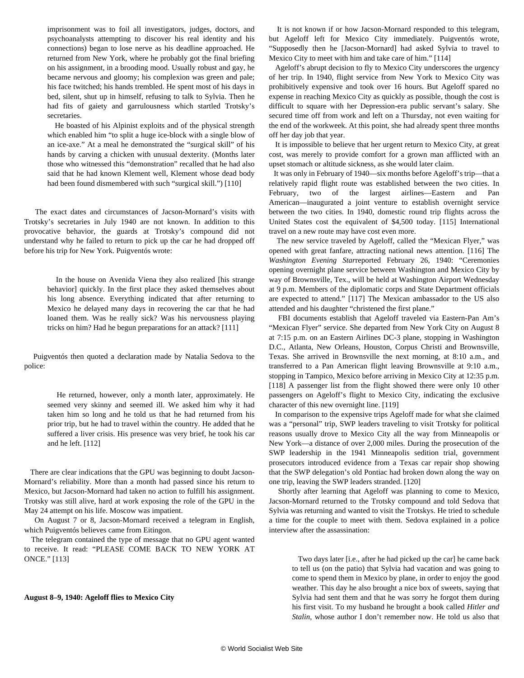imprisonment was to foil all investigators, judges, doctors, and psychoanalysts attempting to discover his real identity and his connections) began to lose nerve as his deadline approached. He returned from New York, where he probably got the final briefing on his assignment, in a brooding mood. Usually robust and gay, he became nervous and gloomy; his complexion was green and pale; his face twitched; his hands trembled. He spent most of his days in bed, silent, shut up in himself, refusing to talk to Sylvia. Then he had fits of gaiety and garrulousness which startled Trotsky's secretaries.

 He boasted of his Alpinist exploits and of the physical strength which enabled him "to split a huge ice-block with a single blow of an ice-axe." At a meal he demonstrated the "surgical skill" of his hands by carving a chicken with unusual dexterity. (Months later those who witnessed this "demonstration" recalled that he had also said that he had known Klement well, Klement whose dead body had been found dismembered with such "surgical skill.") [110]

 The exact dates and circumstances of Jacson-Mornard's visits with Trotsky's secretaries in July 1940 are not known. In addition to this provocative behavior, the guards at Trotsky's compound did not understand why he failed to return to pick up the car he had dropped off before his trip for New York. Puigventós wrote:

> In the house on Avenida Viena they also realized [his strange behavior] quickly. In the first place they asked themselves about his long absence. Everything indicated that after returning to Mexico he delayed many days in recovering the car that he had loaned them. Was he really sick? Was his nervousness playing tricks on him? Had he begun preparations for an attack? [111]

 Puigventós then quoted a declaration made by Natalia Sedova to the police:

 He returned, however, only a month later, approximately. He seemed very skinny and seemed ill. We asked him why it had taken him so long and he told us that he had returned from his prior trip, but he had to travel within the country. He added that he suffered a liver crisis. His presence was very brief, he took his car and he left. [112]

 There are clear indications that the GPU was beginning to doubt Jacson-Mornard's reliability. More than a month had passed since his return to Mexico, but Jacson-Mornard had taken no action to fulfill his assignment. Trotsky was still alive, hard at work exposing the role of the GPU in the May 24 attempt on his life. Moscow was impatient.

 On August 7 or 8, Jacson-Mornard received a telegram in English, which Puigventós believes came from Eitingon.

 The telegram contained the type of message that no GPU agent wanted to receive. It read: "PLEASE COME BACK TO NEW YORK AT ONCE." [113]

#### **August 8–9, 1940: Ageloff flies to Mexico City**

 It is not known if or how Jacson-Mornard responded to this telegram, but Ageloff left for Mexico City immediately. Puigventós wrote, "Supposedly then he [Jacson-Mornard] had asked Sylvia to travel to Mexico City to meet with him and take care of him." [114]

 Ageloff's abrupt decision to fly to Mexico City underscores the urgency of her trip. In 1940, flight service from New York to Mexico City was prohibitively expensive and took over 16 hours. But Ageloff spared no expense in reaching Mexico City as quickly as possible, though the cost is difficult to square with her Depression-era public servant's salary. She secured time off from work and left on a Thursday, not even waiting for the end of the workweek. At this point, she had already spent three months off her day job that year.

 It is impossible to believe that her urgent return to Mexico City, at great cost, was merely to provide comfort for a grown man afflicted with an upset stomach or altitude sickness, as she would later claim.

 It was only in February of 1940—six months before Ageloff's trip—that a relatively rapid flight route was established between the two cities. In February, two of the largest airlines—Eastern and Pan American—inaugurated a joint venture to establish overnight service between the two cities. In 1940, domestic round trip flights across the United States cost the equivalent of \$4,500 today. [115] International travel on a new route may have cost even more.

 The new service traveled by Ageloff, called the "Mexican Flyer," was opened with great fanfare, attracting national news attention. [116] The *Washington Evening Star*reported February 26, 1940: "Ceremonies opening overnight plane service between Washington and Mexico City by way of Brownsville, Tex., will be held at Washington Airport Wednesday at 9 p.m. Members of the diplomatic corps and State Department officials are expected to attend." [117] The Mexican ambassador to the US also attended and his daughter "christened the first plane."

 FBI documents establish that Ageloff traveled via Eastern-Pan Am's "Mexican Flyer" service. She departed from New York City on August 8 at 7:15 p.m. on an Eastern Airlines DC-3 plane, stopping in Washington D.C., Atlanta, New Orleans, Houston, Corpus Christi and Brownsville, Texas. She arrived in Brownsville the next morning, at 8:10 a.m., and transferred to a Pan American flight leaving Brownsville at 9:10 a.m., stopping in Tampico, Mexico before arriving in Mexico City at 12:35 p.m. [118] A passenger list from the flight showed there were only 10 other passengers on Ageloff's flight to Mexico City, indicating the exclusive character of this new overnight line. [119]

 In comparison to the expensive trips Ageloff made for what she claimed was a "personal" trip, SWP leaders traveling to visit Trotsky for political reasons usually drove to Mexico City all the way from Minneapolis or New York—a distance of over 2,000 miles. During the prosecution of the SWP leadership in the 1941 Minneapolis sedition trial, government prosecutors introduced evidence from a Texas car repair shop showing that the SWP delegation's old Pontiac had broken down along the way on one trip, leaving the SWP leaders stranded. [120]

 Shortly after learning that Ageloff was planning to come to Mexico, Jacson-Mornard returned to the Trotsky compound and told Sedova that Sylvia was returning and wanted to visit the Trotskys. He tried to schedule a time for the couple to meet with them. Sedova explained in a police interview after the assassination:

Two days later [i.e., after he had picked up the car] he came back to tell us (on the patio) that Sylvia had vacation and was going to come to spend them in Mexico by plane, in order to enjoy the good weather. This day he also brought a nice box of sweets, saying that Sylvia had sent them and that he was sorry he forgot them during his first visit. To my husband he brought a book called *Hitler and Stalin*, whose author I don't remember now. He told us also that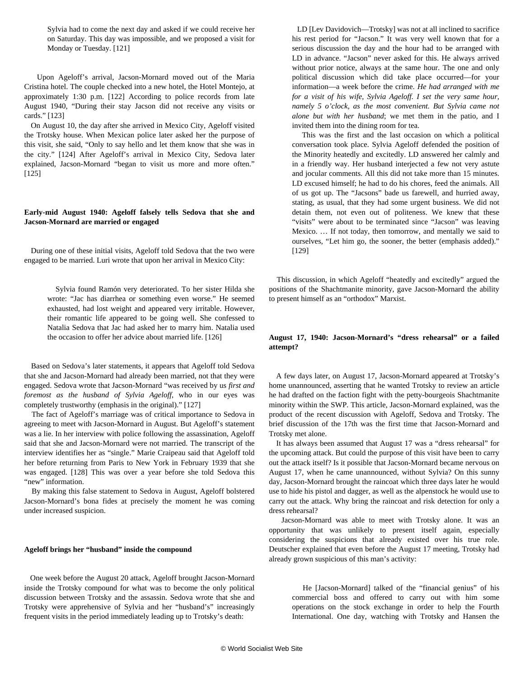Sylvia had to come the next day and asked if we could receive her on Saturday. This day was impossible, and we proposed a visit for Monday or Tuesday. [121]

 Upon Ageloff's arrival, Jacson-Mornard moved out of the Maria Cristina hotel. The couple checked into a new hotel, the Hotel Montejo, at approximately 1:30 p.m. [122] According to police records from late August 1940, "During their stay Jacson did not receive any visits or cards." [123]

 On August 10, the day after she arrived in Mexico City, Ageloff visited the Trotsky house. When Mexican police later asked her the purpose of this visit, she said, "Only to say hello and let them know that she was in the city." [124] After Ageloff's arrival in Mexico City, Sedova later explained, Jacson-Mornard "began to visit us more and more often." [125]

#### **Early-mid August 1940: Ageloff falsely tells Sedova that she and Jacson-Mornard are married or engaged**

 During one of these initial visits, Ageloff told Sedova that the two were engaged to be married. Luri wrote that upon her arrival in Mexico City:

 Sylvia found Ramón very deteriorated. To her sister Hilda she wrote: "Jac has diarrhea or something even worse." He seemed exhausted, had lost weight and appeared very irritable. However, their romantic life appeared to be going well. She confessed to Natalia Sedova that Jac had asked her to marry him. Natalia used the occasion to offer her advice about married life. [126]

 Based on Sedova's later statements, it appears that Ageloff told Sedova that she and Jacson-Mornard had already been married, not that they were engaged. Sedova wrote that Jacson-Mornard "was received by us *first and foremost as the husband of Sylvia Ageloff*, who in our eyes was completely trustworthy (emphasis in the original)." [127]

 The fact of Ageloff's marriage was of critical importance to Sedova in agreeing to meet with Jacson-Mornard in August. But Ageloff's statement was a lie. In her interview with police following the assassination, Ageloff said that she and Jacson-Mornard were not married. The transcript of the interview identifies her as "single." Marie Craipeau said that Ageloff told her before returning from Paris to New York in February 1939 that she was engaged. [128] This was over a year before she told Sedova this "new" information.

 By making this false statement to Sedova in August, Ageloff bolstered Jacson-Mornard's bona fides at precisely the moment he was coming under increased suspicion.

#### **Ageloff brings her "husband" inside the compound**

 One week before the August 20 attack, Ageloff brought Jacson-Mornard inside the Trotsky compound for what was to become the only political discussion between Trotsky and the assassin. Sedova wrote that she and Trotsky were apprehensive of Sylvia and her "husband's" increasingly frequent visits in the period immediately leading up to Trotsky's death:

 LD [Lev Davidovich—Trotsky] was not at all inclined to sacrifice his rest period for "Jacson." It was very well known that for a serious discussion the day and the hour had to be arranged with LD in advance. "Jacson" never asked for this. He always arrived without prior notice, always at the same hour. The one and only political discussion which did take place occurred—for your information—a week before the crime. *He had arranged with me for a visit of his wife, Sylvia Ageloff. I set the very same hour, namely 5 o'clock, as the most convenient. But Sylvia came not alone but with her husband*; we met them in the patio, and I invited them into the dining room for tea.

 This was the first and the last occasion on which a political conversation took place. Sylvia Ageloff defended the position of the Minority heatedly and excitedly. LD answered her calmly and in a friendly way. Her husband interjected a few not very astute and jocular comments. All this did not take more than 15 minutes. LD excused himself; he had to do his chores, feed the animals. All of us got up. The "Jacsons" bade us farewell, and hurried away, stating, as usual, that they had some urgent business. We did not detain them, not even out of politeness. We knew that these "visits" were about to be terminated since "Jacson" was leaving Mexico. … If not today, then tomorrow, and mentally we said to ourselves, "Let him go, the sooner, the better (emphasis added)." [129]

 This discussion, in which Ageloff "heatedly and excitedly" argued the positions of the Shachtmanite minority, gave Jacson-Mornard the ability to present himself as an "orthodox" Marxist.

#### **August 17, 1940: Jacson-Mornard's "dress rehearsal" or a failed attempt?**

 A few days later, on August 17, Jacson-Mornard appeared at Trotsky's home unannounced, asserting that he wanted Trotsky to review an article he had drafted on the faction fight with the petty-bourgeois Shachtmanite minority within the SWP. This article, Jacson-Mornard explained, was the product of the recent discussion with Ageloff, Sedova and Trotsky. The brief discussion of the 17th was the first time that Jacson-Mornard and Trotsky met alone.

 It has always been assumed that August 17 was a "dress rehearsal" for the upcoming attack. But could the purpose of this visit have been to carry out the attack itself? Is it possible that Jacson-Mornard became nervous on August 17, when he came unannounced, without Sylvia? On this sunny day, Jacson-Mornard brought the raincoat which three days later he would use to hide his pistol and dagger, as well as the alpenstock he would use to carry out the attack. Why bring the raincoat and risk detection for only a dress rehearsal?

 Jacson-Mornard was able to meet with Trotsky alone. It was an opportunity that was unlikely to present itself again, especially considering the suspicions that already existed over his true role. Deutscher explained that even before the August 17 meeting, Trotsky had already grown suspicious of this man's activity:

 He [Jacson-Mornard] talked of the "financial genius" of his commercial boss and offered to carry out with him some operations on the stock exchange in order to help the Fourth International. One day, watching with Trotsky and Hansen the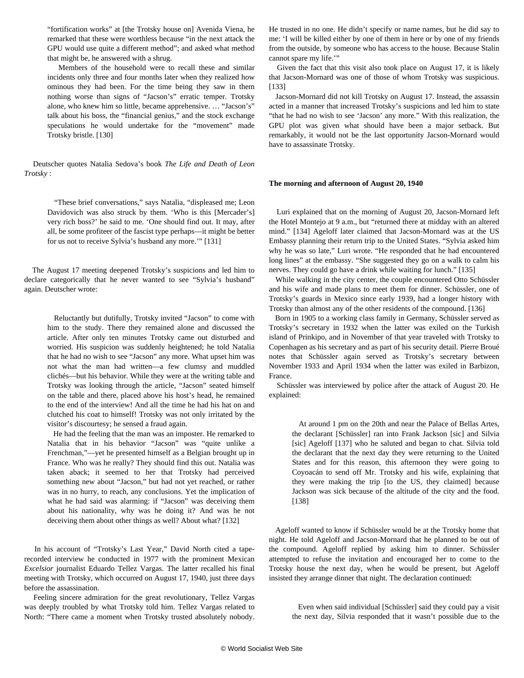"fortification works" at [the Trotsky house on] Avenida Viena, he remarked that these were worthless because "in the next attack the GPU would use quite a different method"; and asked what method that might be, he answered with a shrug.

 Members of the household were to recall these and similar incidents only three and four months later when they realized how ominous they had been. For the time being they saw in them nothing worse than signs of "Jacson's" erratic temper. Trotsky alone, who knew him so little, became apprehensive. … "Jacson's" talk about his boss, the "financial genius," and the stock exchange speculations he would undertake for the "movement" made Trotsky bristle. [130]

 Deutscher quotes Natalia Sedova's book *The Life and Death of Leon Trotsky* :

 "These brief conversations," says Natalia, "displeased me; Leon Davidovich was also struck by them. 'Who is this [Mercader's] very rich boss?' he said to me. 'One should find out. It may, after all, be some profiteer of the fascist type perhaps—it might be better for us not to receive Sylvia's husband any more.'" [131]

 The August 17 meeting deepened Trotsky's suspicions and led him to declare categorically that he never wanted to see "Sylvia's husband" again. Deutscher wrote:

> Reluctantly but dutifully, Trotsky invited "Jacson" to come with him to the study. There they remained alone and discussed the article. After only ten minutes Trotsky came out disturbed and worried. His suspicion was suddenly heightened; he told Natalia that he had no wish to see "Jacson" any more. What upset him was not what the man had written—a few clumsy and muddled clichés—but his behavior. While they were at the writing table and Trotsky was looking through the article, "Jacson" seated himself on the table and there, placed above his host's head, he remained to the end of the interview! And all the time he had his hat on and clutched his coat to himself! Trotsky was not only irritated by the visitor's discourtesy; he sensed a fraud again.

> He had the feeling that the man was an imposter. He remarked to Natalia that in his behavior "Jacson" was "quite unlike a Frenchman,"—yet he presented himself as a Belgian brought up in France. Who was he really? They should find this out. Natalia was taken aback; it seemed to her that Trotsky had perceived something new about "Jacson," but had not yet reached, or rather was in no hurry, to reach, any conclusions. Yet the implication of what he had said was alarming: if "Jacson" was deceiving them about his nationality, why was he doing it? And was he not deceiving them about other things as well? About what? [132]

 In his account of "Trotsky's Last Year," David North cited a taperecorded interview he conducted in 1977 with the prominent Mexican *Excelsior* journalist Eduardo Tellez Vargas. The latter recalled his final meeting with Trotsky, which occurred on August 17, 1940, just three days before the assassination.

 Feeling sincere admiration for the great revolutionary, Tellez Vargas was deeply troubled by what Trotsky told him. Tellez Vargas related to North: "There came a moment when Trotsky trusted absolutely nobody. He trusted in no one. He didn't specify or name names, but he did say to me: 'I will be killed either by one of them in here or by one of my friends from the outside, by someone who has access to the house. Because Stalin cannot spare my life.'"

 Given the fact that this visit also took place on August 17, it is likely that Jacson-Mornard was one of those of whom Trotsky was suspicious. [133]

 Jacson-Mornard did not kill Trotsky on August 17. Instead, the assassin acted in a manner that increased Trotsky's suspicions and led him to state "that he had no wish to see 'Jacson' any more." With this realization, the GPU plot was given what should have been a major setback. But remarkably, it would not be the last opportunity Jacson-Mornard would have to assassinate Trotsky.

#### **The morning and afternoon of August 20, 1940**

 Luri explained that on the morning of August 20, Jacson-Mornard left the Hotel Montejo at 9 a.m., but "returned there at midday with an altered mind." [134] Ageloff later claimed that Jacson-Mornard was at the US Embassy planning their return trip to the United States. "Sylvia asked him why he was so late," Luri wrote. "He responded that he had encountered long lines" at the embassy. "She suggested they go on a walk to calm his nerves. They could go have a drink while waiting for lunch." [135]

 While walking in the city center, the couple encountered Otto Schüssler and his wife and made plans to meet them for dinner. Schüssler, one of Trotsky's guards in Mexico since early 1939, had a longer history with Trotsky than almost any of the other residents of the compound. [136]

 Born in 1905 to a working class family in Germany, Schüssler served as Trotsky's secretary in 1932 when the latter was exiled on the Turkish island of Prinkipo, and in November of that year traveled with Trotsky to Copenhagen as his secretary and as part of his security detail. Pierre Broué notes that Schüssler again served as Trotsky's secretary between November 1933 and April 1934 when the latter was exiled in Barbizon, France.

 Schüssler was interviewed by police after the attack of August 20. He explained:

 At around 1 pm on the 20th and near the Palace of Bellas Artes, the declarant [Schüssler] ran into Frank Jackson [sic] and Silvia [sic] Ageloff [137] who he saluted and began to chat. Silvia told the declarant that the next day they were returning to the United States and for this reason, this afternoon they were going to Coyoacán to send off Mr. Trotsky and his wife, explaining that they were making the trip [to the US, they claimed] because Jackson was sick because of the altitude of the city and the food. [138]

 Ageloff wanted to know if Schüssler would be at the Trotsky home that night. He told Ageloff and Jacson-Mornard that he planned to be out of the compound. Ageloff replied by asking him to dinner. Schüssler attempted to refuse the invitation and encouraged her to come to the Trotsky house the next day, when he would be present, but Ageloff insisted they arrange dinner that night. The declaration continued:

 Even when said individual [Schüssler] said they could pay a visit the next day, Silvia responded that it wasn't possible due to the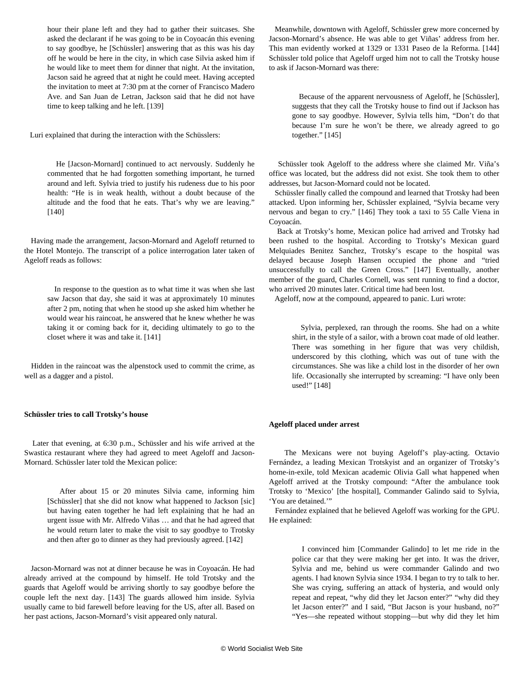hour their plane left and they had to gather their suitcases. She asked the declarant if he was going to be in Coyoacán this evening to say goodbye, he [Schüssler] answering that as this was his day off he would be here in the city, in which case Silvia asked him if he would like to meet them for dinner that night. At the invitation, Jacson said he agreed that at night he could meet. Having accepted the invitation to meet at 7:30 pm at the corner of Francisco Madero Ave. and San Juan de Letran, Jackson said that he did not have time to keep talking and he left. [139]

Luri explained that during the interaction with the Schüsslers:

 He [Jacson-Mornard] continued to act nervously. Suddenly he commented that he had forgotten something important, he turned around and left. Sylvia tried to justify his rudeness due to his poor health: "He is in weak health, without a doubt because of the altitude and the food that he eats. That's why we are leaving." [140]

 Having made the arrangement, Jacson-Mornard and Ageloff returned to the Hotel Montejo. The transcript of a police interrogation later taken of Ageloff reads as follows:

> In response to the question as to what time it was when she last saw Jacson that day, she said it was at approximately 10 minutes after 2 pm, noting that when he stood up she asked him whether he would wear his raincoat, he answered that he knew whether he was taking it or coming back for it, deciding ultimately to go to the closet where it was and take it. [141]

 Hidden in the raincoat was the alpenstock used to commit the crime, as well as a dagger and a pistol.

#### **Schüssler tries to call Trotsky's house**

 Later that evening, at 6:30 p.m., Schüssler and his wife arrived at the Swastica restaurant where they had agreed to meet Ageloff and Jacson-Mornard. Schüssler later told the Mexican police:

 After about 15 or 20 minutes Silvia came, informing him [Schüssler] that she did not know what happened to Jackson [sic] but having eaten together he had left explaining that he had an urgent issue with Mr. Alfredo Viñas … and that he had agreed that he would return later to make the visit to say goodbye to Trotsky and then after go to dinner as they had previously agreed. [142]

 Jacson-Mornard was not at dinner because he was in Coyoacán. He had already arrived at the compound by himself. He told Trotsky and the guards that Ageloff would be arriving shortly to say goodbye before the couple left the next day. [143] The guards allowed him inside. Sylvia usually came to bid farewell before leaving for the US, after all. Based on her past actions, Jacson-Mornard's visit appeared only natural.

 Meanwhile, downtown with Ageloff, Schüssler grew more concerned by Jacson-Mornard's absence. He was able to get Viñas' address from her. This man evidently worked at 1329 or 1331 Paseo de la Reforma. [144] Schüssler told police that Ageloff urged him not to call the Trotsky house to ask if Jacson-Mornard was there:

 Because of the apparent nervousness of Ageloff, he [Schüssler], suggests that they call the Trotsky house to find out if Jackson has gone to say goodbye. However, Sylvia tells him, "Don't do that because I'm sure he won't be there, we already agreed to go together." [145]

 Schüssler took Ageloff to the address where she claimed Mr. Viña's office was located, but the address did not exist. She took them to other addresses, but Jacson-Mornard could not be located.

 Schüssler finally called the compound and learned that Trotsky had been attacked. Upon informing her, Schüssler explained, "Sylvia became very nervous and began to cry." [146] They took a taxi to 55 Calle Viena in Coyoacán.

 Back at Trotsky's home, Mexican police had arrived and Trotsky had been rushed to the hospital. According to Trotsky's Mexican guard Melquiades Benitez Sanchez, Trotsky's escape to the hospital was delayed because Joseph Hansen occupied the phone and "tried unsuccessfully to call the Green Cross." [147] Eventually, another member of the guard, Charles Cornell, was sent running to find a doctor, who arrived 20 minutes later. Critical time had been lost.

Ageloff, now at the compound, appeared to panic. Luri wrote:

 Sylvia, perplexed, ran through the rooms. She had on a white shirt, in the style of a sailor, with a brown coat made of old leather. There was something in her figure that was very childish, underscored by this clothing, which was out of tune with the circumstances. She was like a child lost in the disorder of her own life. Occasionally she interrupted by screaming: "I have only been used!" [148]

#### **Ageloff placed under arrest**

 The Mexicans were not buying Ageloff's play-acting. Octavio Fernández, a leading Mexican Trotskyist and an organizer of Trotsky's home-in-exile, told Mexican academic Olivia Gall what happened when Ageloff arrived at the Trotsky compound: "After the ambulance took Trotsky to 'Mexico' [the hospital], Commander Galindo said to Sylvia, 'You are detained.'"

 Fernández explained that he believed Ageloff was working for the GPU. He explained:

 I convinced him [Commander Galindo] to let me ride in the police car that they were making her get into. It was the driver, Sylvia and me, behind us were commander Galindo and two agents. I had known Sylvia since 1934. I began to try to talk to her. She was crying, suffering an attack of hysteria, and would only repeat and repeat, "why did they let Jacson enter?" "why did they let Jacson enter?" and I said, "But Jacson is your husband, no?" "Yes—she repeated without stopping—but why did they let him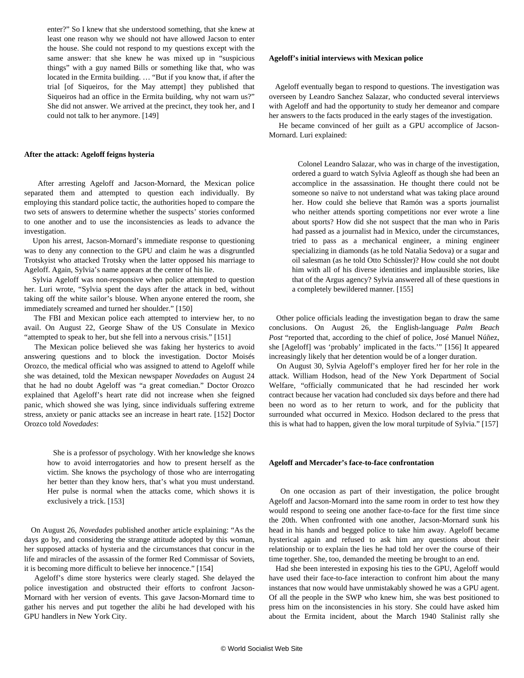enter?" So I knew that she understood something, that she knew at least one reason why we should not have allowed Jacson to enter the house. She could not respond to my questions except with the same answer: that she knew he was mixed up in "suspicious things" with a guy named Bills or something like that, who was located in the Ermita building. … "But if you know that, if after the trial [of Siqueiros, for the May attempt] they published that Siqueiros had an office in the Ermita building, why not warn us?" She did not answer. We arrived at the precinct, they took her, and I could not talk to her anymore. [149]

#### **After the attack: Ageloff feigns hysteria**

 After arresting Ageloff and Jacson-Mornard, the Mexican police separated them and attempted to question each individually. By employing this standard police tactic, the authorities hoped to compare the two sets of answers to determine whether the suspects' stories conformed to one another and to use the inconsistencies as leads to advance the investigation.

 Upon his arrest, Jacson-Mornard's immediate response to questioning was to deny any connection to the GPU and claim he was a disgruntled Trotskyist who attacked Trotsky when the latter opposed his marriage to Ageloff. Again, Sylvia's name appears at the center of his lie.

 Sylvia Ageloff was non-responsive when police attempted to question her. Luri wrote, "Sylvia spent the days after the attack in bed, without taking off the white sailor's blouse. When anyone entered the room, she immediately screamed and turned her shoulder." [150]

 The FBI and Mexican police each attempted to interview her, to no avail. On August 22, George Shaw of the US Consulate in Mexico "attempted to speak to her, but she fell into a nervous crisis." [151]

 The Mexican police believed she was faking her hysterics to avoid answering questions and to block the investigation. Doctor Moisés Orozco, the medical official who was assigned to attend to Ageloff while she was detained, told the Mexican newspaper *Novedades* on August 24 that he had no doubt Ageloff was "a great comedian." Doctor Orozco explained that Ageloff's heart rate did not increase when she feigned panic, which showed she was lying, since individuals suffering extreme stress, anxiety or panic attacks see an increase in heart rate. [152] Doctor Orozco told *Novedades*:

 She is a professor of psychology. With her knowledge she knows how to avoid interrogatories and how to present herself as the victim. She knows the psychology of those who are interrogating her better than they know hers, that's what you must understand. Her pulse is normal when the attacks come, which shows it is exclusively a trick. [153]

 On August 26, *Novedades* published another article explaining: "As the days go by, and considering the strange attitude adopted by this woman, her supposed attacks of hysteria and the circumstances that concur in the life and miracles of the assassin of the former Red Commissar of Soviets, it is becoming more difficult to believe her innocence." [154]

 Ageloff's dime store hysterics were clearly staged. She delayed the police investigation and obstructed their efforts to confront Jacson-Mornard with her version of events. This gave Jacson-Mornard time to gather his nerves and put together the alibi he had developed with his GPU handlers in New York City.

#### **Ageloff's initial interviews with Mexican police**

 Ageloff eventually began to respond to questions. The investigation was overseen by Leandro Sanchez Salazar, who conducted several interviews with Ageloff and had the opportunity to study her demeanor and compare her answers to the facts produced in the early stages of the investigation.

 He became convinced of her guilt as a GPU accomplice of Jacson-Mornard. Luri explained:

 Colonel Leandro Salazar, who was in charge of the investigation, ordered a guard to watch Sylvia Agleoff as though she had been an accomplice in the assassination. He thought there could not be someone so naïve to not understand what was taking place around her. How could she believe that Ramón was a sports journalist who neither attends sporting competitions nor ever wrote a line about sports? How did she not suspect that the man who in Paris had passed as a journalist had in Mexico, under the circumstances, tried to pass as a mechanical engineer, a mining engineer specializing in diamonds (as he told Natalia Sedova) or a sugar and oil salesman (as he told Otto Schüssler)? How could she not doubt him with all of his diverse identities and implausible stories, like that of the Argus agency? Sylvia answered all of these questions in a completely bewildered manner. [155]

 Other police officials leading the investigation began to draw the same conclusions. On August 26, the English-language *Palm Beach Post* "reported that, according to the chief of police, José Manuel Núñez, she [Ageloff] was 'probably' implicated in the facts.'" [156] It appeared increasingly likely that her detention would be of a longer duration.

 On August 30, Sylvia Ageloff's employer fired her for her role in the attack. William Hodson, head of the New York Department of Social Welfare, "officially communicated that he had rescinded her work contract because her vacation had concluded six days before and there had been no word as to her return to work, and for the publicity that surrounded what occurred in Mexico. Hodson declared to the press that this is what had to happen, given the low moral turpitude of Sylvia." [157]

#### **Ageloff and Mercader's face-to-face confrontation**

 On one occasion as part of their investigation, the police brought Ageloff and Jacson-Mornard into the same room in order to test how they would respond to seeing one another face-to-face for the first time since the 20th. When confronted with one another, Jacson-Mornard sunk his head in his hands and begged police to take him away. Ageloff became hysterical again and refused to ask him any questions about their relationship or to explain the lies he had told her over the course of their time together. She, too, demanded the meeting be brought to an end.

 Had she been interested in exposing his ties to the GPU, Ageloff would have used their face-to-face interaction to confront him about the many instances that now would have unmistakably showed he was a GPU agent. Of all the people in the SWP who knew him, she was best positioned to press him on the inconsistencies in his story. She could have asked him about the Ermita incident, about the March 1940 Stalinist rally she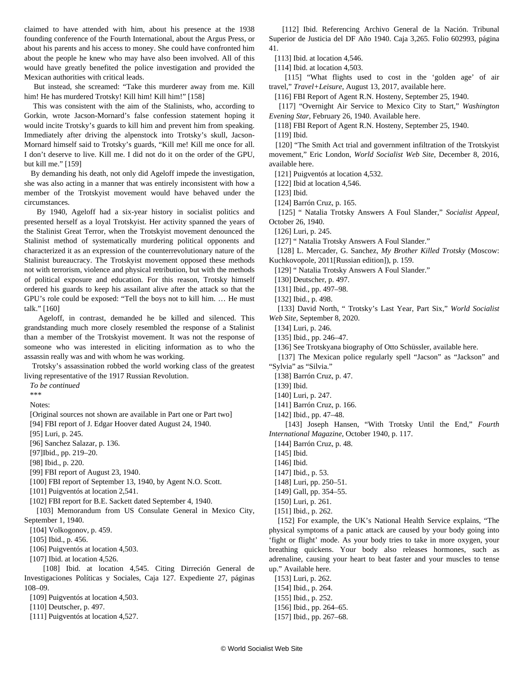claimed to have attended with him, about his presence at the 1938 founding conference of the Fourth International, about the Argus Press, or about his parents and his access to money. She could have confronted him about the people he knew who may have also been involved. All of this would have greatly benefited the police investigation and provided the Mexican authorities with critical leads.

 But instead, she screamed: "Take this murderer away from me. Kill him! He has murdered Trotsky! Kill him! Kill him!" [158]

 This was consistent with the aim of the Stalinists, who, according to Gorkin, wrote Jacson-Mornard's false confession statement hoping it would incite Trotsky's guards to kill him and prevent him from speaking. Immediately after driving the alpenstock into Trotsky's skull, Jacson-Mornard himself said to Trotsky's guards, "Kill me! Kill me once for all. I don't deserve to live. Kill me. I did not do it on the order of the GPU, but kill me." [159]

 By demanding his death, not only did Ageloff impede the investigation, she was also acting in a manner that was entirely inconsistent with how a member of the Trotskyist movement would have behaved under the circumstances.

 By 1940, Ageloff had a six-year history in socialist politics and presented herself as a loyal Trotskyist. Her activity spanned the years of the Stalinist Great Terror, when the Trotskyist movement denounced the Stalinist method of systematically murdering political opponents and characterized it as an expression of the counterrevolutionary nature of the Stalinist bureaucracy. The Trotskyist movement opposed these methods not with terrorism, violence and physical retribution, but with the methods of political exposure and education. For this reason, Trotsky himself ordered his guards to keep his assailant alive after the attack so that the GPU's role could be exposed: "Tell the boys not to kill him. … He must talk." [160]

 Ageloff, in contrast, demanded he be killed and silenced. This grandstanding much more closely resembled the response of a Stalinist than a member of the Trotskyist movement. It was not the response of someone who was interested in eliciting information as to who the assassin really was and with whom he was working.

 Trotsky's assassination robbed the world working class of the greatest living representative of the 1917 Russian Revolution.

*To be continued*

\*\*\*

Notes:

 [Original sources not shown are available in [Part one](/en/articles/2021/02/06/sylv-f06.html) or [Part two](/en/articles/2021/02/06/sylv-f07.html)] [94] FBI report of J. Edgar Hoover dated August 24, 1940.

[95] Luri, p. 245.

[96] Sanchez Salazar, p. 136.

[97]Ibid., pp. 219–20.

[98] Ibid., p. 220.

[99] FBI report of August 23, 1940.

[100] FBI report of September 13, 1940, by Agent N.O. Scott.

[101] Puigventós at location 2,541.

[102] FBI report for B.E. Sackett dated September 4, 1940.

[103] Memorandum from US Consulate General in Mexico City, September 1, 1940.

[104] Volkogonov, p. 459.

[105] Ibid., p. 456.

[106] Puigventós at location 4,503.

[107] Ibid. at location 4,526.

[108] Ibid. at location 4,545. Citing Dirreción General de Investigaciones Políticas y Sociales, Caja 127. Expediente 27, páginas 108–09.

[109] Puigventós at location 4,503.

[110] Deutscher, p. 497.

[111] Puigventós at location 4,527.

 [112] Ibid. Referencing Archivo General de la Nación. Tribunal Superior de Justicia del DF Año 1940. Caja 3,265. Folio 602993, página 41.

[113] Ibid. at location 4,546.

[114] Ibid. at location 4,503.

[115] "What flights used to cost in the 'golden age' of air travel," *Travel+Leisure*, August 13, 2017, available [here.](https://www.travelandleisure.com/airlines-airports/history-of-flight-costs)

[116] FBI Report of Agent R.N. Hosteny, September 25, 1940.

 [117] "Overnight Air Service to Mexico City to Start," *Washington Evening Star*, February 26, 1940. Available [here](https://chroniclingamerica.loc.gov/lccn/sn83045462/1940-02-26/ed-1/seq-19/).

[118] FBI Report of Agent R.N. Hosteny, September 25, 1940.

[119] Ibid.

 [120] "The Smith Act trial and government infiltration of the Trotskyist movement," Eric London, *World Socialist Web Site*, December 8, 2016, available [here.](/en/articles/2016/12/08/secu-d08.html)

[121] Puigventós at location 4,532.

[122] Ibid at location 4,546.

[123] Ibid.

[124] Barrón Cruz, p. 165.

 [125] " [Natalia Trotsky Answers A Foul Slander](https://archiverebelle.org/pages/36480?main_page=66&search%5Bnames%5D%5B%5D=Socialist+Appeal)," *Socialist Appeal*, October 26, 1940.

[126] Luri, p. 245.

[127] " [Natalia Trotsky Answers A Foul Slander](https://archiverebelle.org/pages/36480?main_page=66&search%5Bnames%5D%5B%5D=Socialist+Appeal)."

 [128] L. Mercader, G. Sanchez, *My Brother Killed Trotsky* (Moscow: Kuchkovopole, 2011[Russian edition]), p. 159.

[129] " [Natalia Trotsky Answers A Foul Slander](https://archiverebelle.org/pages/36480?main_page=66&search%5Bnames%5D%5B%5D=Socialist+Appeal)."

[130] Deutscher, p. 497.

[131] Ibid., pp. 497–98.

[132] Ibid., p. 498.

 [133] David North, " [Trotsky's Last Year, Part Six](/en/articles/2020/09/08/ann6-s08.html)," *World Socialist Web Site*, September 8, 2020.

[134] Luri, p. 246.

[135] Ibid., pp. 246-47.

[136] See Trotskyana biography of Otto Schüssler, available [here.](https://www.trotskyana.net/Trotskyists/Bio-Bibliographies/bio-bibl_schuessler.pdf)

[137] The Mexican police regularly spell "Jacson" as "Jackson" and "Sylvia" as "Silvia."

[138] Barrón Cruz, p. 47.

[139] Ibid.

[140] Luri, p. 247.

[141] Barrón Cruz, p. 166.

[142] Ibid., pp. 47–48.

 [143] Joseph Hansen, "With Trotsky Until the End," *Fourth International Magazine*, October 1940, p. 117.

[144] Barrón Cruz, p. 48.

[145] Ibid.

[146] Ibid.

[147] Ibid., p. 53.

[148] Luri, pp. 250–51.

[149] Gall, pp. 354–55.

[150] Luri, p. 261.

[151] Ibid., p. 262.

 [152] For example, the UK's National Health Service explains, "The physical symptoms of a panic attack are caused by your body going into 'fight or flight' mode. As your body tries to take in more oxygen, your breathing quickens. Your body also releases hormones, such as adrenaline, causing your heart to beat faster and your muscles to tense up." Available [here.](https://www.nhsinform.scot/healthy-living/mental-wellbeing/anxiety-and-panic/are-you-having-panic-attacks)

[153] Luri, p. 262. [154] Ibid., p. 264. [155] Ibid., p. 252. [156] Ibid., pp. 264–65. [157] Ibid., pp. 267-68.